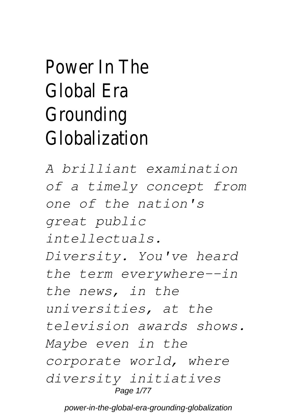## Power In The Global Era Grounding Globalization

*A brilliant examination of a timely concept from one of the nation's great public intellectuals. Diversity. You've heard the term everywhere--in the news, in the universities, at the television awards shows. Maybe even in the corporate world, where diversity initiatives* Page 1/77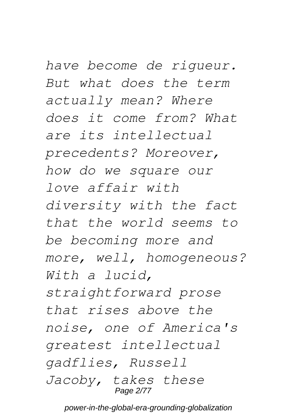*have become de rigueur. But what does the term actually mean? Where does it come from? What are its intellectual precedents? Moreover, how do we square our love affair with diversity with the fact that the world seems to be becoming more and more, well, homogeneous? With a lucid, straightforward prose that rises above the noise, one of America's greatest intellectual gadflies, Russell Jacoby, takes these* Page 2/77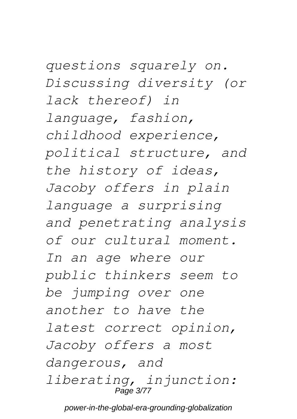*questions squarely on. Discussing diversity (or lack thereof) in language, fashion, childhood experience, political structure, and the history of ideas, Jacoby offers in plain language a surprising and penetrating analysis of our cultural moment. In an age where our public thinkers seem to be jumping over one another to have the latest correct opinion, Jacoby offers a most dangerous, and liberating, injunction:* Page 3/77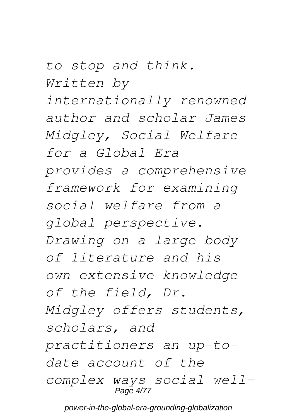*to stop and think. Written by*

*internationally renowned author and scholar James Midgley, Social Welfare for a Global Era provides a comprehensive framework for examining social welfare from a global perspective. Drawing on a large body of literature and his own extensive knowledge of the field, Dr. Midgley offers students, scholars, and practitioners an up-todate account of the complex ways social well-*Page 4/77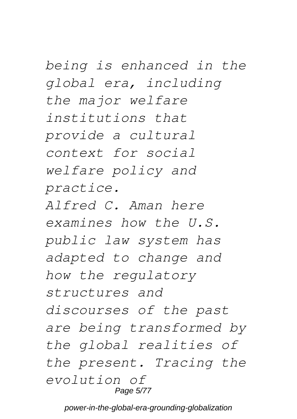*being is enhanced in the global era, including the major welfare institutions that provide a cultural context for social welfare policy and practice. Alfred C. Aman here*

*examines how the U.S. public law system has adapted to change and how the regulatory structures and discourses of the past are being transformed by the global realities of the present. Tracing the evolution of* Page 5/77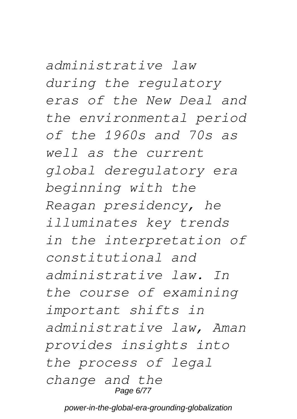*administrative law during the regulatory eras of the New Deal and the environmental period of the 1960s and 70s as well as the current global deregulatory era beginning with the Reagan presidency, he illuminates key trends in the interpretation of constitutional and administrative law. In the course of examining important shifts in administrative law, Aman provides insights into the process of legal change and the* Page 6/77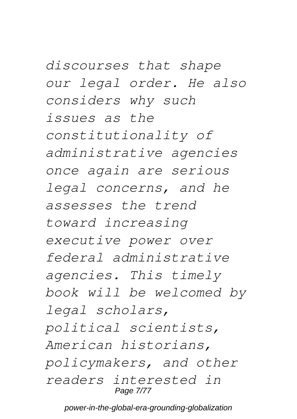*discourses that shape our legal order. He also considers why such issues as the constitutionality of administrative agencies once again are serious legal concerns, and he assesses the trend toward increasing executive power over federal administrative agencies. This timely book will be welcomed by legal scholars, political scientists, American historians, policymakers, and other readers interested in* Page 7/77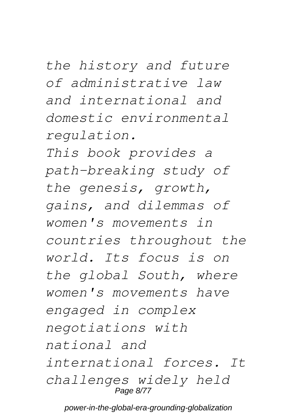*the history and future of administrative law and international and domestic environmental regulation.*

*This book provides a path-breaking study of the genesis, growth, gains, and dilemmas of women's movements in countries throughout the world. Its focus is on the global South, where women's movements have engaged in complex negotiations with national and international forces. It challenges widely held* Page 8/77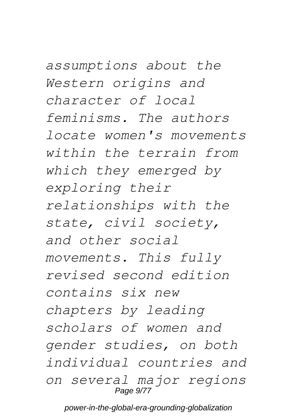*assumptions about the Western origins and character of local feminisms. The authors locate women's movements within the terrain from which they emerged by exploring their relationships with the state, civil society, and other social movements. This fully revised second edition contains six new chapters by leading scholars of women and gender studies, on both individual countries and on several major regions* Page 9/77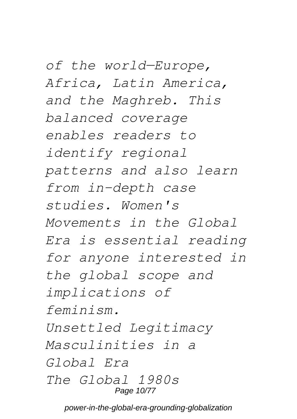*of the world—Europe, Africa, Latin America, and the Maghreb. This balanced coverage enables readers to identify regional patterns and also learn from in-depth case studies. Women's Movements in the Global Era is essential reading for anyone interested in the global scope and implications of feminism. Unsettled Legitimacy Masculinities in a Global Era The Global 1980s* Page 10/77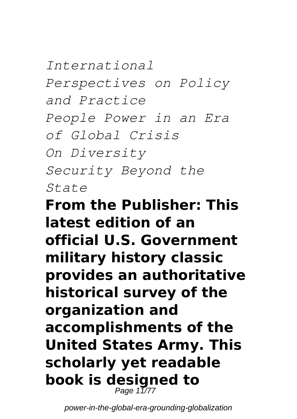*International Perspectives on Policy and Practice People Power in an Era of Global Crisis On Diversity Security Beyond the State*

### **From the Publisher: This latest edition of an official U.S. Government military history classic provides an authoritative historical survey of the organization and accomplishments of the United States Army. This scholarly yet readable book is designed to** Page 11/77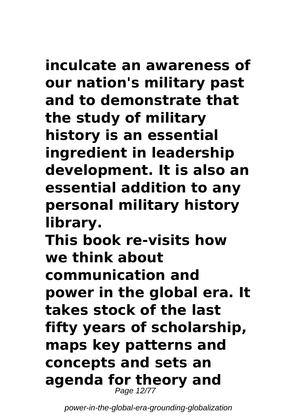## **inculcate an awareness of**

**our nation's military past and to demonstrate that the study of military history is an essential ingredient in leadership development. It is also an essential addition to any personal military history library. This book re-visits how we think about**

**communication and**

**power in the global era. It takes stock of the last fifty years of scholarship, maps key patterns and concepts and sets an agenda for theory and** Page 12/77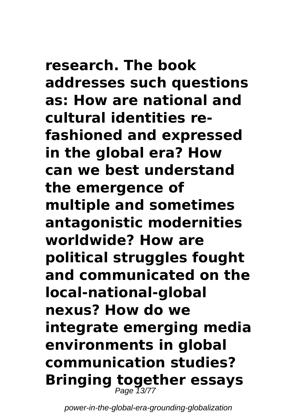**research. The book addresses such questions as: How are national and cultural identities refashioned and expressed in the global era? How can we best understand the emergence of multiple and sometimes antagonistic modernities worldwide? How are political struggles fought and communicated on the local-national-global nexus? How do we integrate emerging media environments in global communication studies? Bringing together essays** Page 13/77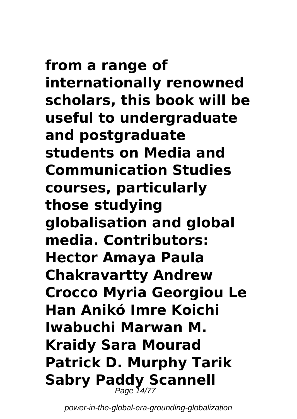**from a range of internationally renowned scholars, this book will be useful to undergraduate and postgraduate students on Media and Communication Studies courses, particularly those studying globalisation and global media. Contributors: Hector Amaya Paula Chakravartty Andrew Crocco Myria Georgiou Le Han Anikó Imre Koichi Iwabuchi Marwan M. Kraidy Sara Mourad Patrick D. Murphy Tarik Sabry Paddy Scannell** Page 14/77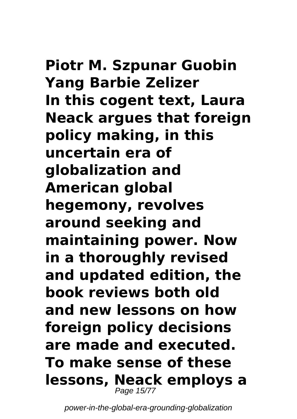# **Piotr M. Szpunar Guobin**

**Yang Barbie Zelizer In this cogent text, Laura Neack argues that foreign policy making, in this uncertain era of globalization and American global hegemony, revolves around seeking and maintaining power. Now in a thoroughly revised and updated edition, the book reviews both old and new lessons on how foreign policy decisions are made and executed. To make sense of these lessons, Neack employs a** Page 15/77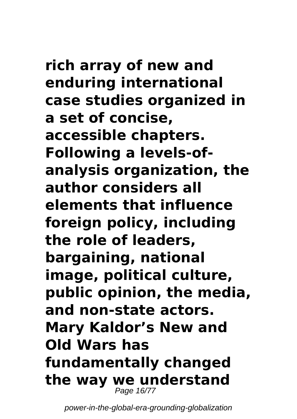**rich array of new and enduring international case studies organized in a set of concise, accessible chapters. Following a levels-ofanalysis organization, the author considers all elements that influence foreign policy, including the role of leaders, bargaining, national image, political culture, public opinion, the media, and non-state actors. Mary Kaldor's New and Old Wars has fundamentally changed the way we understand** Page 16/77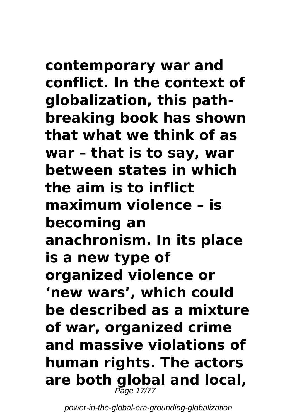## **contemporary war and**

**conflict. In the context of globalization, this pathbreaking book has shown that what we think of as war – that is to say, war between states in which the aim is to inflict maximum violence – is becoming an anachronism. In its place is a new type of organized violence or 'new wars', which could be described as a mixture of war, organized crime and massive violations of human rights. The actors are both global and local,** Page 17/77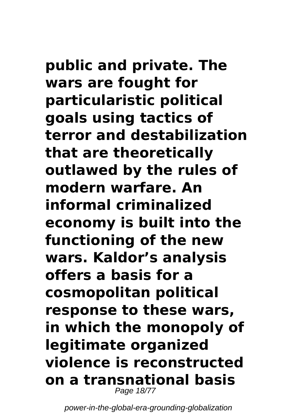**public and private. The wars are fought for particularistic political goals using tactics of terror and destabilization that are theoretically outlawed by the rules of modern warfare. An informal criminalized economy is built into the functioning of the new wars. Kaldor's analysis offers a basis for a cosmopolitan political response to these wars, in which the monopoly of legitimate organized violence is reconstructed on a transnational basis** Page 18/77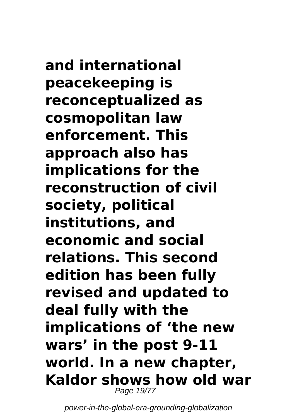**and international peacekeeping is reconceptualized as cosmopolitan law enforcement. This approach also has implications for the reconstruction of civil society, political institutions, and economic and social relations. This second edition has been fully revised and updated to deal fully with the implications of 'the new wars' in the post 9-11 world. In a new chapter, Kaldor shows how old war** Page 19/77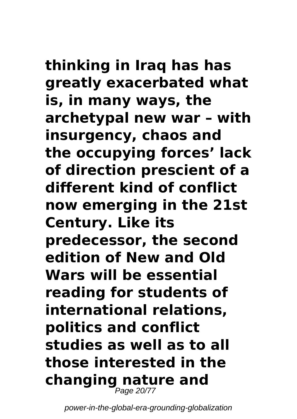### **thinking in Iraq has has greatly exacerbated what is, in many ways, the archetypal new war – with insurgency, chaos and the occupying forces' lack of direction prescient of a different kind of conflict now emerging in the 21st Century. Like its predecessor, the second edition of New and Old Wars will be essential reading for students of international relations,**

**politics and conflict studies as well as to all those interested in the changing nature and** Page 20/77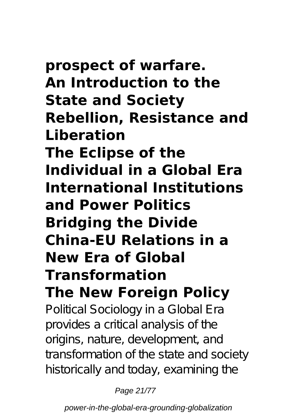**prospect of warfare. An Introduction to the State and Society Rebellion, Resistance and Liberation The Eclipse of the Individual in a Global Era International Institutions and Power Politics Bridging the Divide China-EU Relations in a New Era of Global Transformation The New Foreign Policy**

Political Sociology in a Global Era provides a critical analysis of the origins, nature, development, and transformation of the state and society historically and today, examining the

Page 21/77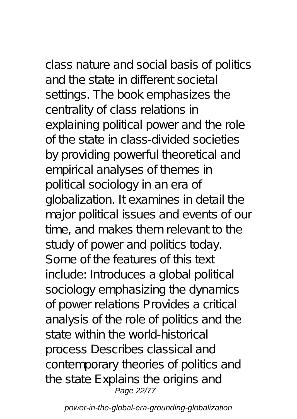class nature and social basis of politics and the state in different societal settings. The book emphasizes the centrality of class relations in explaining political power and the role of the state in class-divided societies by providing powerful theoretical and empirical analyses of themes in political sociology in an era of globalization. It examines in detail the major political issues and events of our time, and makes them relevant to the study of power and politics today. Some of the features of this text include: Introduces a global political sociology emphasizing the dynamics of power relations Provides a critical analysis of the role of politics and the state within the world-historical process Describes classical and contemporary theories of politics and the state Explains the origins and Page 22/77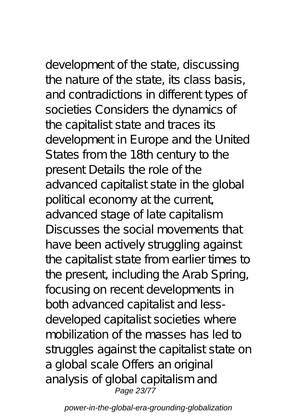development of the state, discussing the nature of the state, its class basis, and contradictions in different types of societies Considers the dynamics of the capitalist state and traces its development in Europe and the United States from the 18th century to the present Details the role of the advanced capitalist state in the global political economy at the current, advanced stage of late capitalism Discusses the social movements that have been actively struggling against the capitalist state from earlier times to the present, including the Arab Spring, focusing on recent developments in both advanced capitalist and lessdeveloped capitalist societies where mobilization of the masses has led to struggles against the capitalist state on a global scale Offers an original analysis of global capitalism and Page 23/77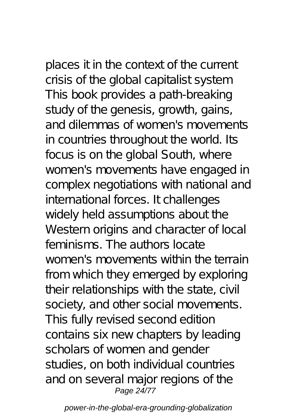places it in the context of the current crisis of the global capitalist system This book provides a path-breaking study of the genesis, growth, gains, and dilemmas of women's movements in countries throughout the world. Its focus is on the global South, where women's movements have engaged in complex negotiations with national and international forces. It challenges widely held assumptions about the Western origins and character of local feminisms. The authors locate women's movements within the terrain from which they emerged by exploring their relationships with the state, civil society, and other social movements. This fully revised second edition contains six new chapters by leading scholars of women and gender studies, on both individual countries and on several major regions of the Page 24/77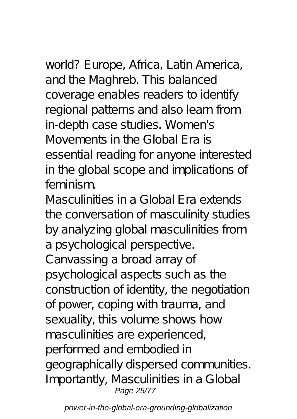world? Europe, Africa, Latin America, and the Maghreb. This balanced coverage enables readers to identify regional patterns and also learn from in-depth case studies. Women's Movements in the Global Era is essential reading for anyone interested in the global scope and implications of feminism.

Masculinities in a Global Era extends the conversation of masculinity studies by analyzing global masculinities from a psychological perspective. Canvassing a broad array of psychological aspects such as the construction of identity, the negotiation of power, coping with trauma, and sexuality, this volume shows how masculinities are experienced, performed and embodied in geographically dispersed communities. Importantly, Masculinities in a Global Page 25/77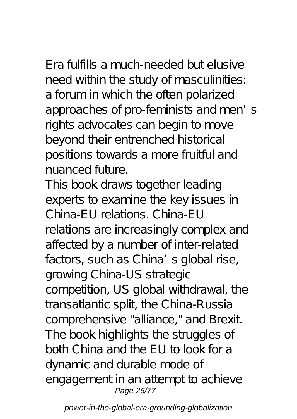Era fulfills a much-needed but elusive need within the study of masculinities: a forum in which the often polarized approaches of pro-feminists and men's rights advocates can begin to move beyond their entrenched historical positions towards a more fruitful and nuanced future.

This book draws together leading experts to examine the key issues in China-EU relations. China-EU relations are increasingly complex and affected by a number of inter-related factors, such as China's global rise, growing China-US strategic competition, US global withdrawal, the transatlantic split, the China-Russia comprehensive "alliance," and Brexit. The book highlights the struggles of both China and the EU to look for a dynamic and durable mode of engagement in an attempt to achieve Page 26/77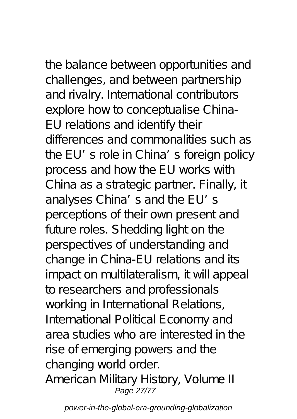the balance between opportunities and challenges, and between partnership and rivalry. International contributors explore how to conceptualise China-EU relations and identify their differences and commonalities such as the EU's role in China's foreign policy process and how the EU works with China as a strategic partner. Finally, it analyses China's and the EU's perceptions of their own present and future roles. Shedding light on the perspectives of understanding and change in China-EU relations and its impact on multilateralism, it will appeal to researchers and professionals working in International Relations, International Political Economy and area studies who are interested in the rise of emerging powers and the changing world order. American Military History, Volume II Page 27/77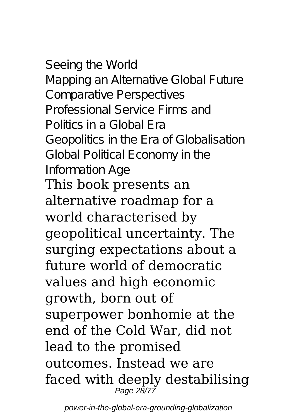Seeing the World Mapping an Alternative Global Future Comparative Perspectives Professional Service Firms and Politics in a Global Era Geopolitics in the Era of Globalisation Global Political Economy in the Information Age This book presents an

alternative roadmap for a world characterised by geopolitical uncertainty. The surging expectations about a future world of democratic values and high economic growth, born out of superpower bonhomie at the end of the Cold War, did not lead to the promised outcomes. Instead we are faced with deeply destabilising Page 28/77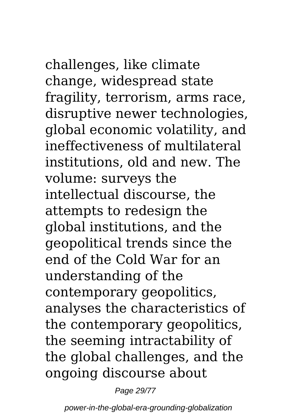challenges, like climate change, widespread state fragility, terrorism, arms race, disruptive newer technologies, global economic volatility, and ineffectiveness of multilateral institutions, old and new. The volume: surveys the intellectual discourse, the attempts to redesign the global institutions, and the geopolitical trends since the end of the Cold War for an understanding of the contemporary geopolitics, analyses the characteristics of the contemporary geopolitics, the seeming intractability of the global challenges, and the ongoing discourse about

Page 29/77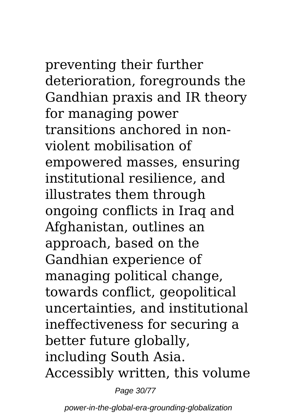preventing their further deterioration, foregrounds the Gandhian praxis and IR theory for managing power transitions anchored in nonviolent mobilisation of empowered masses, ensuring institutional resilience, and illustrates them through ongoing conflicts in Iraq and Afghanistan, outlines an approach, based on the Gandhian experience of managing political change, towards conflict, geopolitical uncertainties, and institutional ineffectiveness for securing a better future globally, including South Asia. Accessibly written, this volume

Page 30/77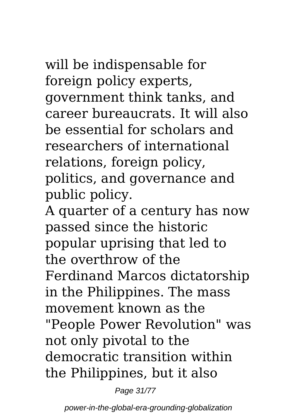will be indispensable for foreign policy experts, government think tanks, and career bureaucrats. It will also be essential for scholars and researchers of international relations, foreign policy, politics, and governance and public policy.

A quarter of a century has now passed since the historic popular uprising that led to the overthrow of the Ferdinand Marcos dictatorship in the Philippines. The mass movement known as the "People Power Revolution" was not only pivotal to the democratic transition within the Philippines, but it also

Page 31/77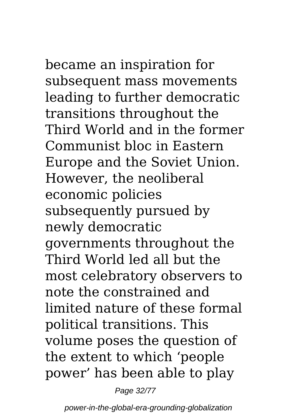became an inspiration for subsequent mass movements leading to further democratic transitions throughout the Third World and in the former Communist bloc in Eastern Europe and the Soviet Union. However, the neoliberal economic policies subsequently pursued by newly democratic governments throughout the Third World led all but the most celebratory observers to note the constrained and limited nature of these formal political transitions. This volume poses the question of the extent to which 'people power' has been able to play

Page 32/77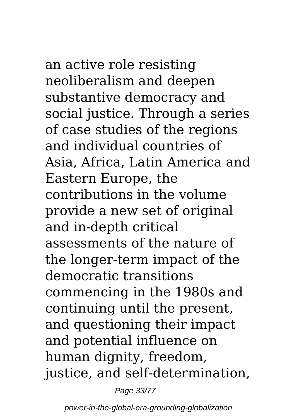an active role resisting neoliberalism and deepen substantive democracy and social justice. Through a series of case studies of the regions and individual countries of Asia, Africa, Latin America and Eastern Europe, the contributions in the volume provide a new set of original and in-depth critical assessments of the nature of the longer-term impact of the democratic transitions commencing in the 1980s and continuing until the present, and questioning their impact and potential influence on human dignity, freedom, justice, and self-determination,

Page 33/77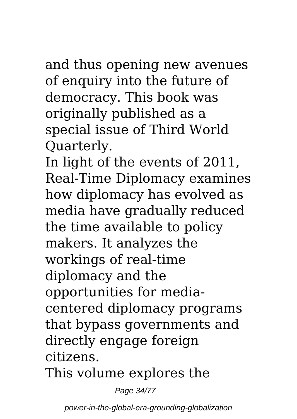### and thus opening new avenues of enquiry into the future of democracy. This book was originally published as a special issue of Third World Quarterly.

In light of the events of 2011, Real-Time Diplomacy examines how diplomacy has evolved as media have gradually reduced the time available to policy makers. It analyzes the workings of real-time diplomacy and the opportunities for mediacentered diplomacy programs that bypass governments and directly engage foreign citizens.

This volume explores the

Page 34/77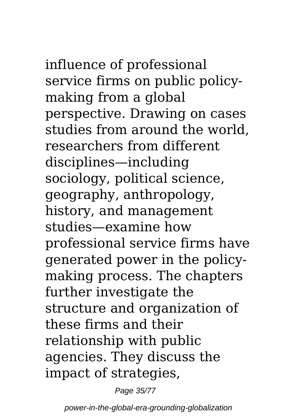influence of professional service firms on public policymaking from a global perspective. Drawing on cases studies from around the world, researchers from different disciplines—including sociology, political science, geography, anthropology, history, and management studies—examine how professional service firms have generated power in the policymaking process. The chapters further investigate the structure and organization of these firms and their relationship with public agencies. They discuss the impact of strategies,

Page 35/77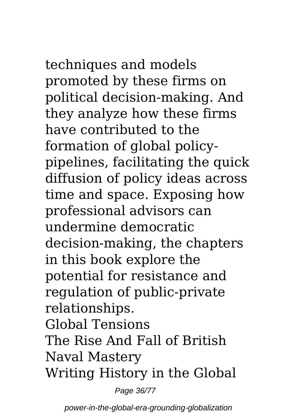techniques and models promoted by these firms on political decision-making. And they analyze how these firms have contributed to the formation of global policypipelines, facilitating the quick diffusion of policy ideas across time and space. Exposing how professional advisors can undermine democratic decision-making, the chapters in this book explore the potential for resistance and regulation of public-private relationships. Global Tensions The Rise And Fall of British Naval Mastery Writing History in the Global

Page 36/77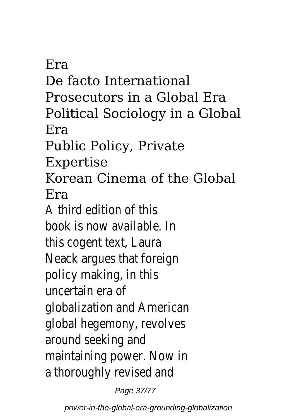Era De facto International Prosecutors in a Global Era Political Sociology in a Global Era Public Policy, Private Expertise Korean Cinema of the Global Era A third edition of this book is now available. In this cogent text, Laura Neack argues that foreign policy making, in this uncertain era of globalization and American global hegemony, revolves around seeking and maintaining power. Now in a thoroughly revised and

Page 37/77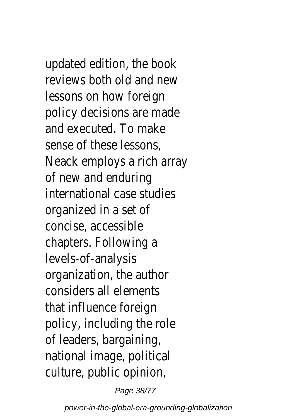updated edition, the book reviews both old and new lessons on how foreign policy decisions are made and executed. To make sense of these lessons, Neack employs a rich array of new and enduring international case studies organized in a set of concise, accessible chapters. Following a levels-of-analysis organization, the author considers all elements that influence foreign policy, including the role of leaders, bargaining, national image, political culture, public opinion,

Page 38/77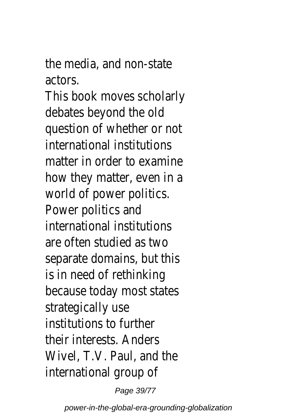the media, and non-state actors.

This book moves scholarly debates beyond the old question of whether or not international institutions matter in order to examine how they matter, even in a world of power politics. Power politics and international institutions are often studied as two separate domains, but this is in need of rethinking because today most states strategically use institutions to further their interests. Anders Wivel, T.V. Paul, and the international group of

Page 39/77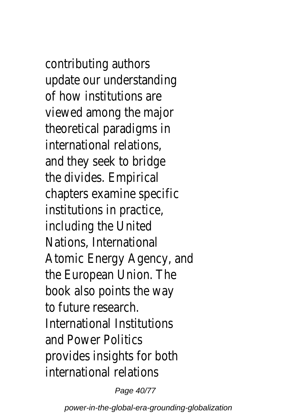contributing authors update our understanding of how institutions are viewed among the major theoretical paradigms in international relations, and they seek to bridge the divides. Empirical chapters examine specific institutions in practice, including the United Nations, International Atomic Energy Agency, and the European Union. The book also points the way to future research. International Institutions and Power Politics provides insights for both international relations

Page 40/77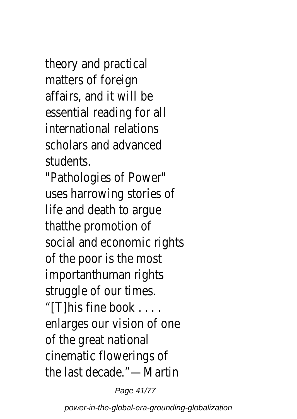theory and practical matters of foreign affairs, and it will be essential reading for all international relations scholars and advanced students.

"Pathologies of Power" uses harrowing stories of life and death to argue thatthe promotion of social and economic rights of the poor is the most importanthuman rights struggle of our times. "[T]his fine book . . . . enlarges our vision of one of the great national cinematic flowerings of the last decade."—Martin

Page 41/77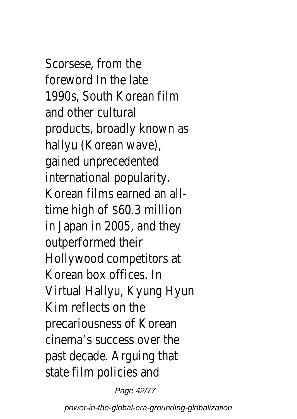Scorsese, from the foreword In the late 1990s, South Korean film and other cultural products, broadly known as hallyu (Korean wave), gained unprecedented international popularity. Korean films earned an alltime high of \$60.3 million in Japan in 2005, and they outperformed their Hollywood competitors at Korean box offices. In Virtual Hallyu, Kyung Hyun Kim reflects on the precariousness of Korean cinema's success over the past decade. Arguing that state film policies and

Page 42/77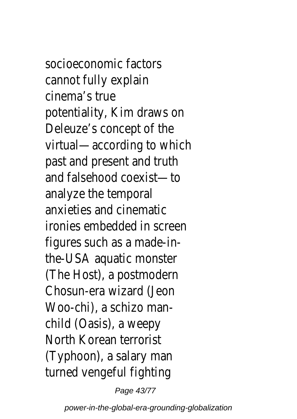socioeconomic factors cannot fully explain cinema's true potentiality, Kim draws on Deleuze's concept of the virtual—according to which past and present and truth and falsehood coexist—to analyze the temporal anxieties and cinematic ironies embedded in screen figures such as a made-inthe-USA aquatic monster (The Host), a postmodern Chosun-era wizard (Jeon Woo-chi), a schizo manchild (Oasis), a weepy North Korean terrorist (Typhoon), a salary man turned vengeful fighting

Page 43/77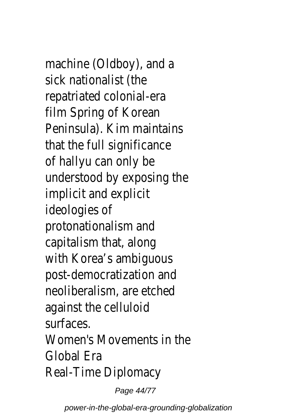machine (Oldboy), and a sick nationalist (the repatriated colonial-era film Spring of Korean Peninsula). Kim maintains that the full significance of hallyu can only be understood by exposing the implicit and explicit ideologies of protonationalism and capitalism that, along with Korea's ambiguous post-democratization and neoliberalism, are etched against the celluloid surfaces. Women's Movements in the Global Era Real-Time Diplomacy

Page 44/77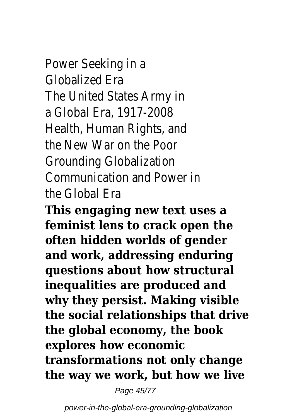Power Seeking in a Globalized Era The United States Army in a Global Era, 1917-2008 Health, Human Rights, and the New War on the Poor Grounding Globalization Communication and Power in the Global Era

**This engaging new text uses a feminist lens to crack open the often hidden worlds of gender and work, addressing enduring questions about how structural inequalities are produced and why they persist. Making visible the social relationships that drive the global economy, the book explores how economic transformations not only change the way we work, but how we live**

Page 45/77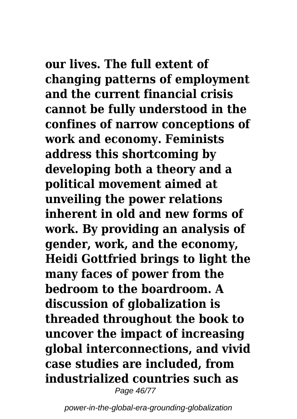**our lives. The full extent of changing patterns of employment and the current financial crisis cannot be fully understood in the confines of narrow conceptions of work and economy. Feminists address this shortcoming by developing both a theory and a political movement aimed at unveiling the power relations inherent in old and new forms of work. By providing an analysis of gender, work, and the economy, Heidi Gottfried brings to light the many faces of power from the bedroom to the boardroom. A discussion of globalization is threaded throughout the book to uncover the impact of increasing global interconnections, and vivid case studies are included, from industrialized countries such as** Page 46/77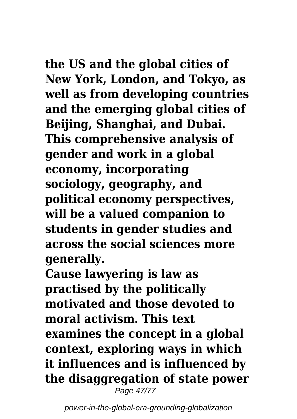**the US and the global cities of New York, London, and Tokyo, as well as from developing countries and the emerging global cities of Beijing, Shanghai, and Dubai. This comprehensive analysis of gender and work in a global economy, incorporating sociology, geography, and political economy perspectives, will be a valued companion to students in gender studies and across the social sciences more generally.**

**Cause lawyering is law as practised by the politically motivated and those devoted to moral activism. This text examines the concept in a global context, exploring ways in which it influences and is influenced by the disaggregation of state power** Page 47/77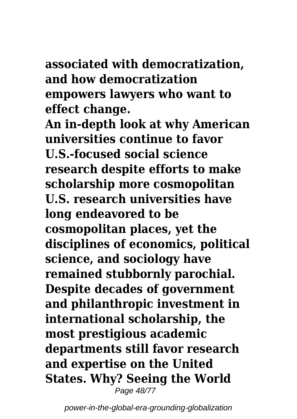**associated with democratization, and how democratization empowers lawyers who want to effect change.**

**An in-depth look at why American universities continue to favor U.S.-focused social science research despite efforts to make scholarship more cosmopolitan U.S. research universities have long endeavored to be cosmopolitan places, yet the disciplines of economics, political science, and sociology have remained stubbornly parochial. Despite decades of government and philanthropic investment in international scholarship, the most prestigious academic departments still favor research and expertise on the United States. Why? Seeing the World** Page 48/77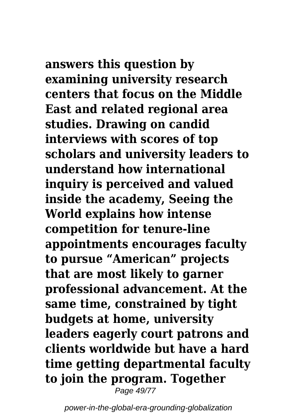**answers this question by examining university research centers that focus on the Middle East and related regional area studies. Drawing on candid interviews with scores of top scholars and university leaders to understand how international inquiry is perceived and valued inside the academy, Seeing the World explains how intense competition for tenure-line appointments encourages faculty to pursue "American" projects that are most likely to garner professional advancement. At the same time, constrained by tight budgets at home, university leaders eagerly court patrons and clients worldwide but have a hard time getting departmental faculty to join the program. Together** Page 49/77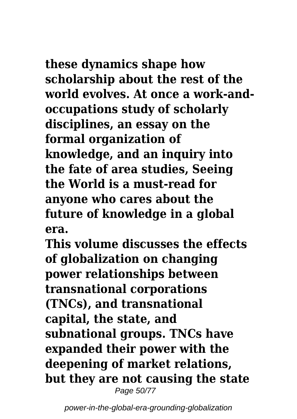## **these dynamics shape how**

**scholarship about the rest of the world evolves. At once a work-andoccupations study of scholarly disciplines, an essay on the formal organization of knowledge, and an inquiry into the fate of area studies, Seeing the World is a must-read for anyone who cares about the future of knowledge in a global era.**

**This volume discusses the effects of globalization on changing power relationships between transnational corporations (TNCs), and transnational capital, the state, and subnational groups. TNCs have expanded their power with the deepening of market relations, but they are not causing the state** Page 50/77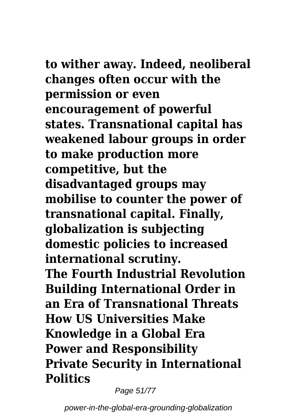# **to wither away. Indeed, neoliberal**

**changes often occur with the permission or even encouragement of powerful states. Transnational capital has weakened labour groups in order to make production more competitive, but the disadvantaged groups may mobilise to counter the power of transnational capital. Finally, globalization is subjecting domestic policies to increased international scrutiny. The Fourth Industrial Revolution Building International Order in an Era of Transnational Threats How US Universities Make Knowledge in a Global Era Power and Responsibility Private Security in International Politics**

Page 51/77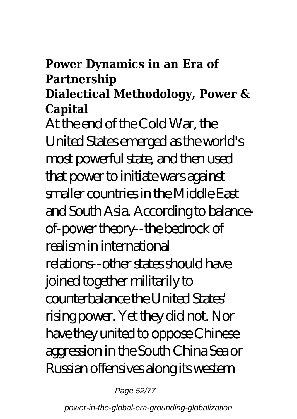### **Power Dynamics in an Era of Partnership**

### **Dialectical Methodology, Power & Capital**

At the end of the Cold War, the United States emerged as the world's most powerful state, and then used that power to initiate wars against smaller countries in the Middle East and South Asia. According to balanceof-power theory--the bedrock of realism in international relations--other states should have joined together militarily to counterbalance the United States' rising power. Yet they did not. Nor have they united to oppose Chinese aggression in the South China Sea or Russian offensives along its western

Page 52/77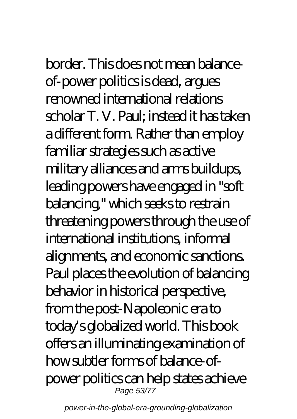## border. This does not mean balanceof-power politics is dead, argues renowned international relations

scholar T. V. Paul; instead it has taken a different form. Rather than employ familiar strategies such as active military alliances and arms buildups, leading powers have engaged in "soft balancing," which seeks to restrain threatening powers through the use of international institutions, informal alignments, and economic sanctions. Paul places the evolution of balancing behavior in historical perspective, from the post-Napoleonic era to today's globalized world. This book offers an illuminating examination of how subtler forms of balance-ofpower politics can help states achieve Page 53/77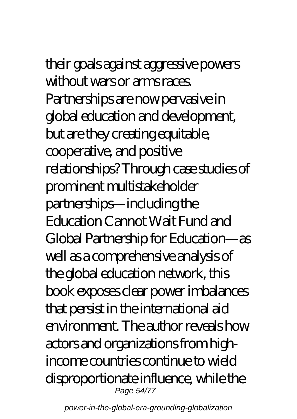# their goals against aggressive powers

without wars or arms races. Partnerships are now pervasive in global education and development, but are they creating equitable, cooperative, and positive relationships? Through case studies of prominent multistakeholder partnerships—including the Education Cannot Wait Fund and Global Partnership for Education—as well as a comprehensive analysis of the global education network, this book exposes clear power imbalances that persist in the international aid environment. The author reveals how actors and organizations from highincome countries continue to wield disproportionate influence, while the Page 54/77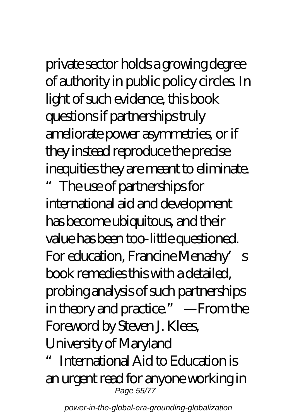private sector holds a growing degree of authority in public policy circles. In light of such evidence, this book questions if partnerships truly ameliorate power asymmetries, or if they instead reproduce the precise inequities they are meant to eliminate.

The use of partnerships for international aid and development has become ubiquitous, and their value has been too-little questioned. For education, Francine Menashy's book remedies this with a detailed, probing analysis of such partnerships in theory and practice." —From the Foreword by Steven J. Klees, University of Maryland

International Aid to Education is an urgent read for anyone working in Page 55/77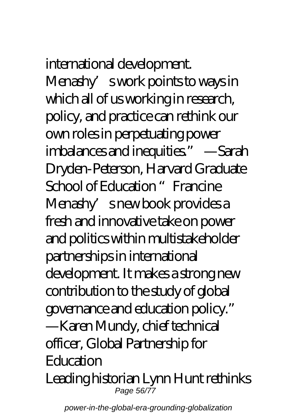## international development.

Menashy's work points to ways in which all of us working in research, policy, and practice can rethink our own roles in perpetuating power imbalances and inequities." —Sarah Dryden-Peterson, Harvard Graduate School of Education "Francine Menashy's new book provides a fresh and innovative take on power and politics within multistakeholder partnerships in international development. It makes a strong new contribution to the study of global governance and education policy." —Karen Mundy, chief technical officer, Global Partnership for **Education** Leading historian Lynn Hunt rethinks Page 56/77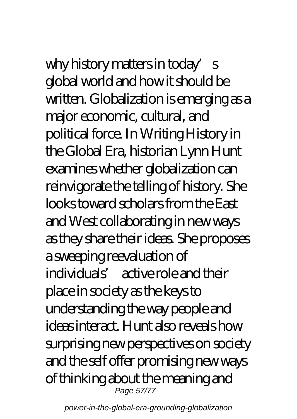why history matters in today's global world and how it should be written. Globalization is emerging as a major economic, cultural, and political force. In Writing History in the Global Era, historian Lynn Hunt examines whether globalization can reinvigorate the telling of history. She looks toward scholars from the East and West collaborating in new ways as they share their ideas. She proposes a sweeping reevaluation of individuals' active role and their place in society as the keys to understanding the way people and ideas interact. Hunt also reveals how surprising new perspectives on society and the self offer promising new ways of thinking about the meaning and Page 57/77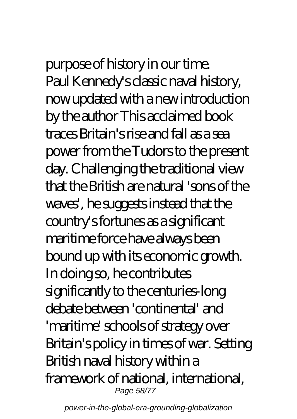# purpose of history in our time.

Paul Kennedy's classic naval history, now updated with a new introduction by the author This acclaimed book traces Britain's rise and fall as a sea power from the Tudors to the present day. Challenging the traditional view that the British are natural 'sons of the waves', he suggests instead that the country's fortunes as a significant maritime force have always been bound up with its economic growth. In doing so, he contributes significantly to the centuries-long debate between 'continental' and 'maritime' schools of strategy over Britain's policy in times of war. Setting British naval history within a framework of national, international, Page 58/77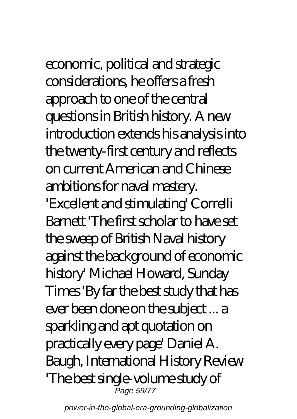economic, political and strategic considerations, he offers a fresh approach to one of the central questions in British history. A new introduction extends his analysis into the twenty-first century and reflects on current American and Chinese ambitions for naval mastery. 'Excellent and stimulating' Correlli Barnett 'The first scholar to have set the sweep of British Naval history against the background of economic history' Michael Howard, Sunday Times 'By far the best study that has ever been done on the subject ... a sparkling and apt quotation on practically every page' Daniel A. Baugh, International History Review 'The best single-volume study of

power-in-the-global-era-grounding-globalization

Page 59/77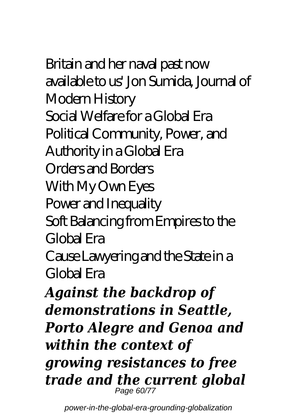Britain and her naval past now available to us' Jon Sumida, Journal of Modern History Social Welfare for a Global Era Political Community, Power, and Authority in a Global Era Orders and Borders With My Own Eyes Power and Inequality Soft Balancing from Empires to the Global Era

Cause Lawyering and the State in a Global Era

*Against the backdrop of demonstrations in Seattle, Porto Alegre and Genoa and within the context of growing resistances to free trade and the current global* Page 60/77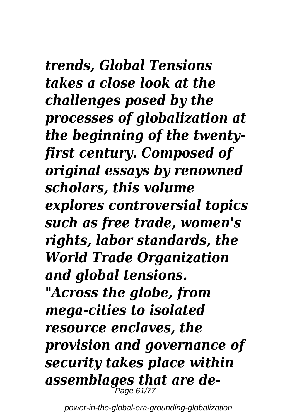*trends, Global Tensions takes a close look at the challenges posed by the processes of globalization at the beginning of the twentyfirst century. Composed of original essays by renowned scholars, this volume explores controversial topics such as free trade, women's rights, labor standards, the World Trade Organization and global tensions. "Across the globe, from mega-cities to isolated resource enclaves, the provision and governance of security takes place within assemblages that are de-*Page 61/77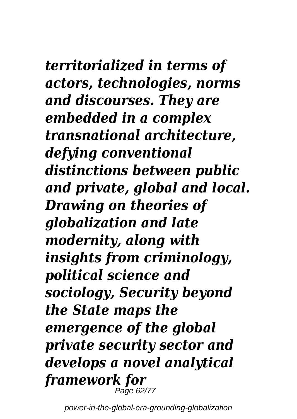# *territorialized in terms of*

*actors, technologies, norms and discourses. They are embedded in a complex transnational architecture, defying conventional distinctions between public and private, global and local. Drawing on theories of globalization and late modernity, along with insights from criminology, political science and sociology, Security beyond the State maps the emergence of the global private security sector and develops a novel analytical framework for* Page 62/77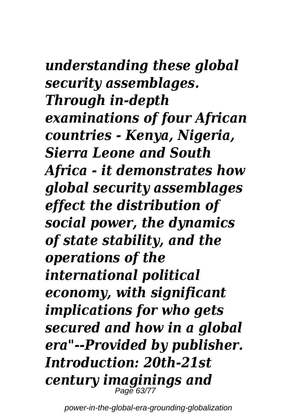## *understanding these global security assemblages. Through in-depth examinations of four African countries - Kenya, Nigeria, Sierra Leone and South Africa - it demonstrates how global security assemblages effect the distribution of social power, the dynamics of state stability, and the operations of the international political economy, with significant implications for who gets secured and how in a global era"--Provided by publisher. Introduction: 20th-21st century imaginings and*

power-in-the-global-era-grounding-globalization

Page 63/77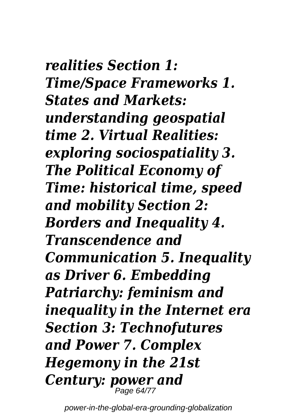*realities Section 1: Time/Space Frameworks 1. States and Markets: understanding geospatial time 2. Virtual Realities: exploring sociospatiality 3. The Political Economy of Time: historical time, speed and mobility Section 2: Borders and Inequality 4. Transcendence and Communication 5. Inequality as Driver 6. Embedding Patriarchy: feminism and inequality in the Internet era Section 3: Technofutures and Power 7. Complex Hegemony in the 21st Century: power and* Page 64/77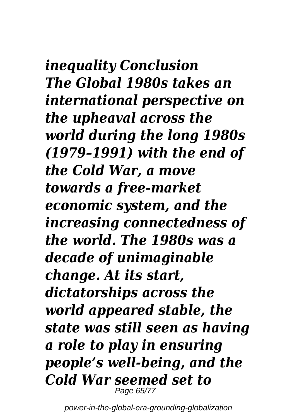*inequality Conclusion The Global 1980s takes an international perspective on the upheaval across the world during the long 1980s (1979–1991) with the end of the Cold War, a move towards a free-market economic system, and the increasing connectedness of the world. The 1980s was a decade of unimaginable change. At its start, dictatorships across the world appeared stable, the state was still seen as having a role to play in ensuring people's well-being, and the Cold War seemed set to* Page 65/77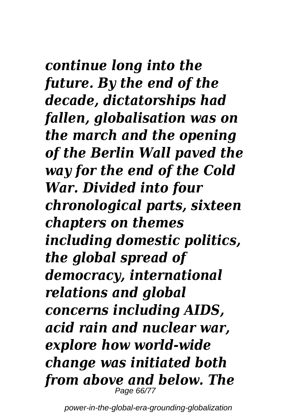*continue long into the future. By the end of the decade, dictatorships had fallen, globalisation was on the march and the opening of the Berlin Wall paved the way for the end of the Cold War. Divided into four chronological parts, sixteen chapters on themes including domestic politics, the global spread of democracy, international relations and global concerns including AIDS, acid rain and nuclear war, explore how world-wide change was initiated both from above and below. The* Page 66/77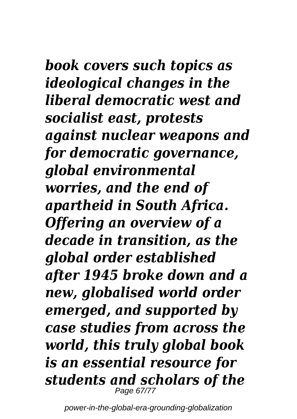## *book covers such topics as ideological changes in the liberal democratic west and socialist east, protests against nuclear weapons and for democratic governance, global environmental worries, and the end of apartheid in South Africa. Offering an overview of a decade in transition, as the*

*global order established after 1945 broke down and a new, globalised world order emerged, and supported by case studies from across the world, this truly global book is an essential resource for students and scholars of the* Page 67/77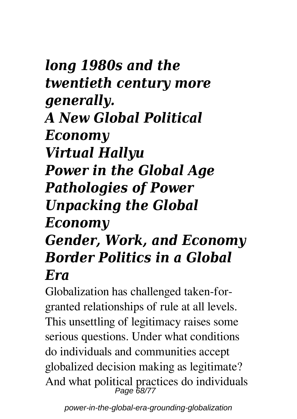## *long 1980s and the twentieth century more generally. A New Global Political Economy Virtual Hallyu Power in the Global Age Pathologies of Power Unpacking the Global Economy Gender, Work, and Economy*

## *Border Politics in a Global Era*

Globalization has challenged taken-forgranted relationships of rule at all levels. This unsettling of legitimacy raises some serious questions. Under what conditions do individuals and communities accept globalized decision making as legitimate? And what political practices do individuals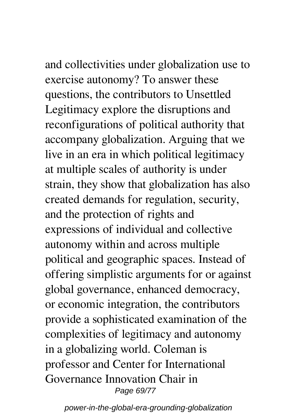and collectivities under globalization use to exercise autonomy? To answer these questions, the contributors to Unsettled Legitimacy explore the disruptions and reconfigurations of political authority that accompany globalization. Arguing that we live in an era in which political legitimacy at multiple scales of authority is under strain, they show that globalization has also created demands for regulation, security, and the protection of rights and expressions of individual and collective autonomy within and across multiple political and geographic spaces. Instead of offering simplistic arguments for or against global governance, enhanced democracy, or economic integration, the contributors provide a sophisticated examination of the complexities of legitimacy and autonomy in a globalizing world. Coleman is professor and Center for International Governance Innovation Chair in

Page 69/77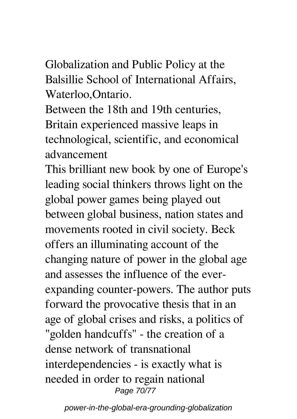Globalization and Public Policy at the Balsillie School of International Affairs, Waterloo,Ontario.

Between the 18th and 19th centuries, Britain experienced massive leaps in technological, scientific, and economical advancement

This brilliant new book by one of Europe's leading social thinkers throws light on the global power games being played out between global business, nation states and movements rooted in civil society. Beck offers an illuminating account of the changing nature of power in the global age and assesses the influence of the everexpanding counter-powers. The author puts forward the provocative thesis that in an age of global crises and risks, a politics of "golden handcuffs" - the creation of a dense network of transnational interdependencies - is exactly what is needed in order to regain national Page 70/77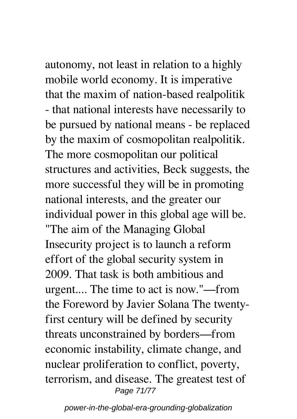autonomy, not least in relation to a highly mobile world economy. It is imperative that the maxim of nation-based realpolitik - that national interests have necessarily to be pursued by national means - be replaced by the maxim of cosmopolitan realpolitik. The more cosmopolitan our political structures and activities, Beck suggests, the more successful they will be in promoting national interests, and the greater our individual power in this global age will be. "The aim of the Managing Global Insecurity project is to launch a reform effort of the global security system in 2009. That task is both ambitious and urgent.... The time to act is now."—from the Foreword by Javier Solana The twentyfirst century will be defined by security threats unconstrained by borders—from economic instability, climate change, and nuclear proliferation to conflict, poverty, terrorism, and disease. The greatest test of Page 71/77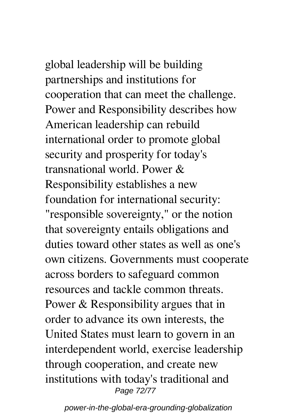global leadership will be building partnerships and institutions for cooperation that can meet the challenge. Power and Responsibility describes how American leadership can rebuild international order to promote global security and prosperity for today's transnational world. Power & Responsibility establishes a new foundation for international security: "responsible sovereignty," or the notion

that sovereignty entails obligations and duties toward other states as well as one's own citizens. Governments must cooperate across borders to safeguard common resources and tackle common threats. Power & Responsibility argues that in order to advance its own interests, the United States must learn to govern in an interdependent world, exercise leadership through cooperation, and create new institutions with today's traditional and Page 72/77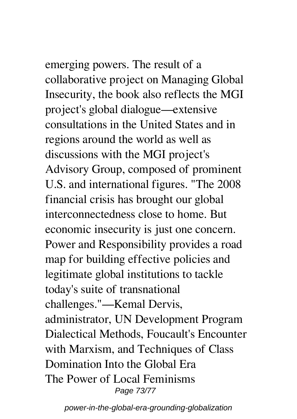emerging powers. The result of a collaborative project on Managing Global Insecurity, the book also reflects the MGI project's global dialogue—extensive consultations in the United States and in regions around the world as well as discussions with the MGI project's Advisory Group, composed of prominent U.S. and international figures. "The 2008 financial crisis has brought our global interconnectedness close to home. But economic insecurity is just one concern. Power and Responsibility provides a road map for building effective policies and legitimate global institutions to tackle today's suite of transnational challenges."—Kemal Dervis, administrator, UN Development Program Dialectical Methods, Foucault's Encounter with Marxism, and Techniques of Class Domination Into the Global Era The Power of Local Feminisms Page 73/77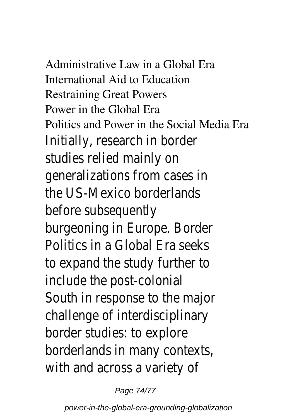Administrative Law in a Global Era International Aid to Education Restraining Great Powers Power in the Global Era Politics and Power in the Social Media Era Initially, research in border studies relied mainly on generalizations from cases in the US-Mexico borderlands before subsequently burgeoning in Europe. Border Politics in a Global Era seeks to expand the study further to include the post-colonial South in response to the major challenge of interdisciplinary border studies: to explore borderlands in many contexts, with and across a variety of

Page 74/77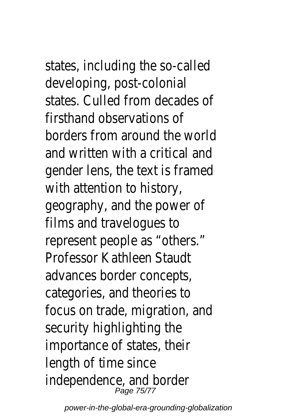states, including the so-called developing, post-colonial states. Culled from decades of firsthand observations of borders from around the worl and written with a critical and gender lens, the text is frame with attention to history, geography, and the power of films and travelogues to represent people as "others." Professor Kathleen Staudt advances border concepts, categories, and theories to focus on trade, migration, and security highlighting the importance of states, their length of time since independence, and border Page 75/77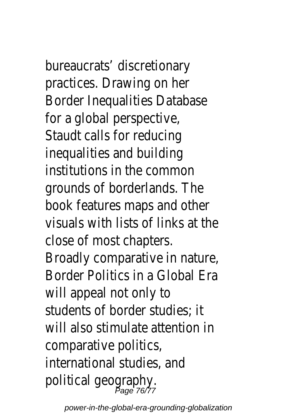bureaucrats' discretionary practices. Drawing on her Border Inequalities Database for a global perspective, Staudt calls for reducing inequalities and building institutions in the common grounds of borderlands. The book features maps and othe visuals with lists of links at the close of most chapters. Broadly comparative in nature, Border Politics in a Global Era will appeal not only to students of border studies; it will also stimulate attention in comparative politics, international studies, and political geography.<br>Page 76/77